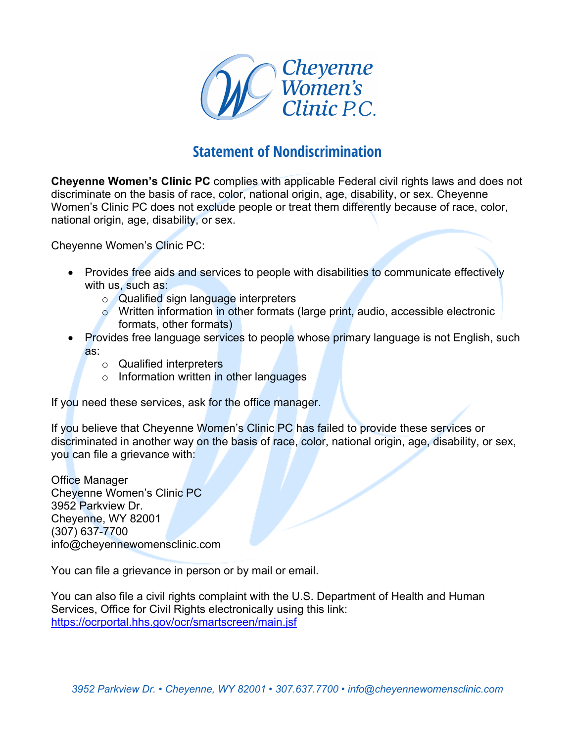

## **Statement of Nondiscrimination**

**Cheyenne Women's Clinic PC** complies with applicable Federal civil rights laws and does not discriminate on the basis of race, color, national origin, age, disability, or sex. Cheyenne Women's Clinic PC does not exclude people or treat them differently because of race, color, national origin, age, disability, or sex.

Cheyenne Women's Clinic PC:

- Provides free aids and services to people with disabilities to communicate effectively with us, such as:
	- o Qualified sign language interpreters
	- o Written information in other formats (large print, audio, accessible electronic formats, other formats)
- Provides free language services to people whose primary language is not English, such as:
	- o Qualified interpreters
	- o Information written in other languages

If you need these services, ask for the office manager.

If you believe that Cheyenne Women's Clinic PC has failed to provide these services or discriminated in another way on the basis of race, color, national origin, age, disability, or sex, you can file a grievance with:

Office Manager Cheyenne Women's Clinic PC 3952 Parkview Dr. Cheyenne, WY 82001 (307) 637-7700 info@cheyennewomensclinic.com

You can file a grievance in person or by mail or email.

You can also file a civil rights complaint with the U.S. Department of Health and Human Services, Office for Civil Rights electronically using this link: https://ocrportal.hhs.gov/ocr/smartscreen/main.jsf